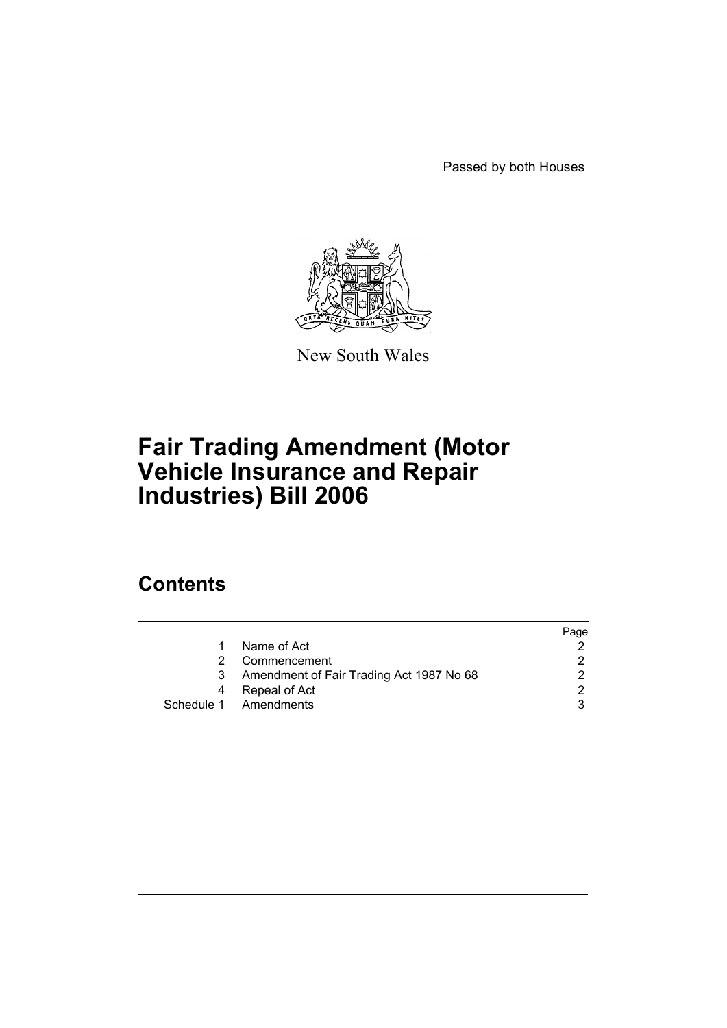Passed by both Houses



New South Wales

# **Fair Trading Amendment (Motor Vehicle Insurance and Repair Industries) Bill 2006**

# **Contents**

|    |                                          | Page |
|----|------------------------------------------|------|
|    | Name of Act                              |      |
| 2. | Commencement                             |      |
| 3  | Amendment of Fair Trading Act 1987 No 68 | ົ    |
| 4  | Repeal of Act                            |      |
|    | Schedule 1 Amendments                    |      |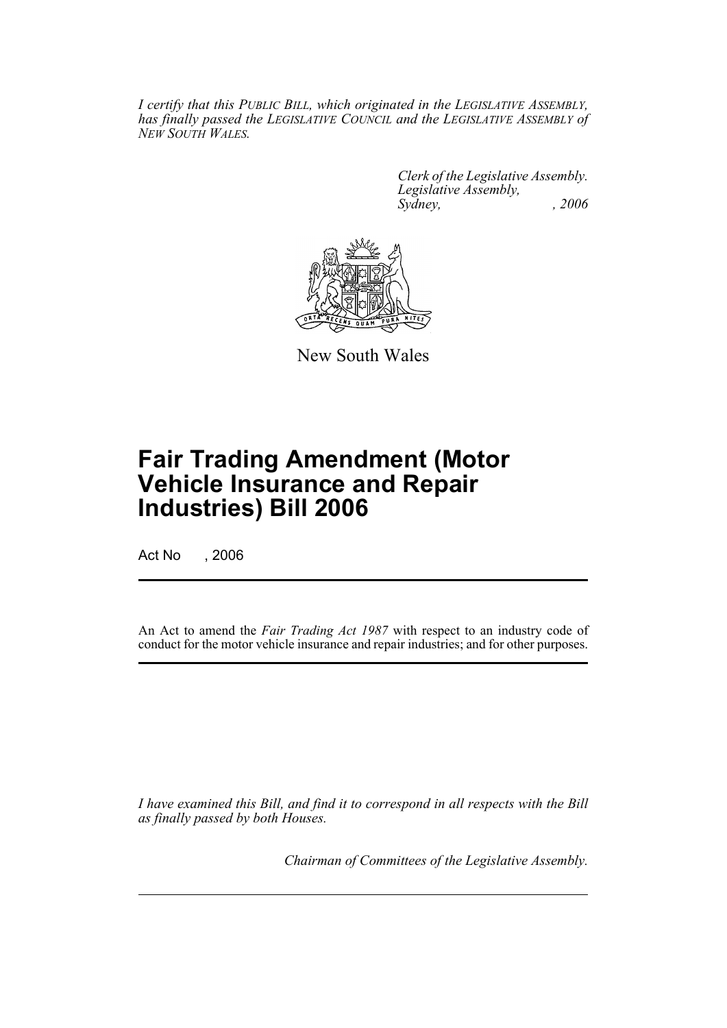*I certify that this PUBLIC BILL, which originated in the LEGISLATIVE ASSEMBLY, has finally passed the LEGISLATIVE COUNCIL and the LEGISLATIVE ASSEMBLY of NEW SOUTH WALES.*

> *Clerk of the Legislative Assembly. Legislative Assembly, Sydney, , 2006*



New South Wales

# **Fair Trading Amendment (Motor Vehicle Insurance and Repair Industries) Bill 2006**

Act No , 2006

An Act to amend the *Fair Trading Act 1987* with respect to an industry code of conduct for the motor vehicle insurance and repair industries; and for other purposes.

*I have examined this Bill, and find it to correspond in all respects with the Bill as finally passed by both Houses.*

*Chairman of Committees of the Legislative Assembly.*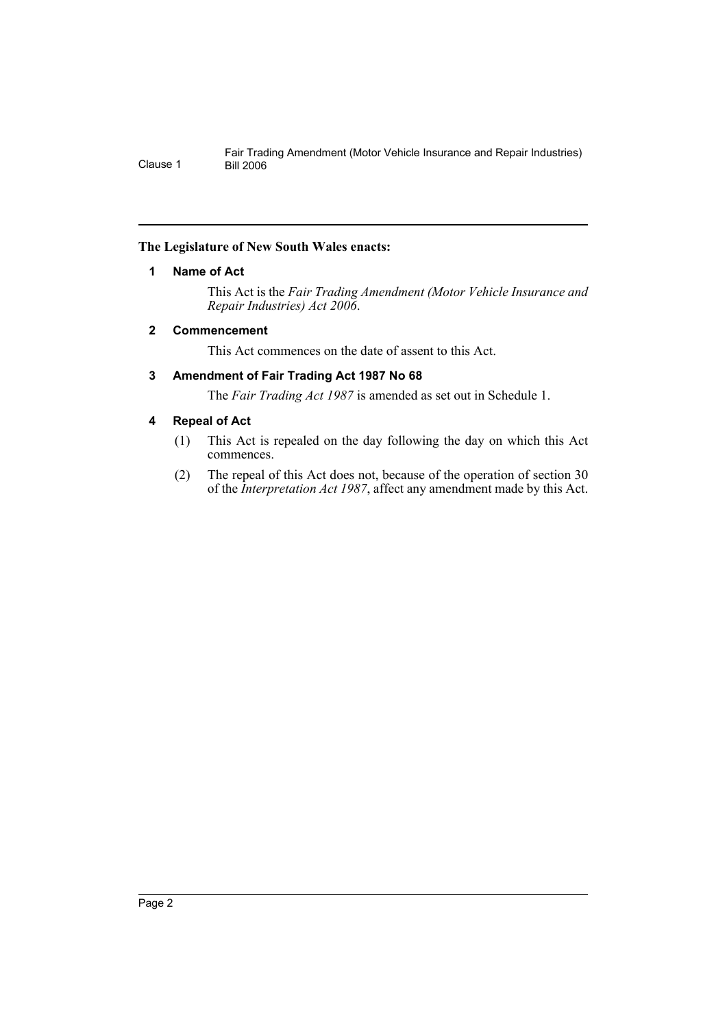# **The Legislature of New South Wales enacts:**

# **1 Name of Act**

This Act is the *Fair Trading Amendment (Motor Vehicle Insurance and Repair Industries) Act 2006*.

# **2 Commencement**

This Act commences on the date of assent to this Act.

# **3 Amendment of Fair Trading Act 1987 No 68**

The *Fair Trading Act 1987* is amended as set out in Schedule 1.

# **4 Repeal of Act**

- (1) This Act is repealed on the day following the day on which this Act commences.
- (2) The repeal of this Act does not, because of the operation of section 30 of the *Interpretation Act 1987*, affect any amendment made by this Act.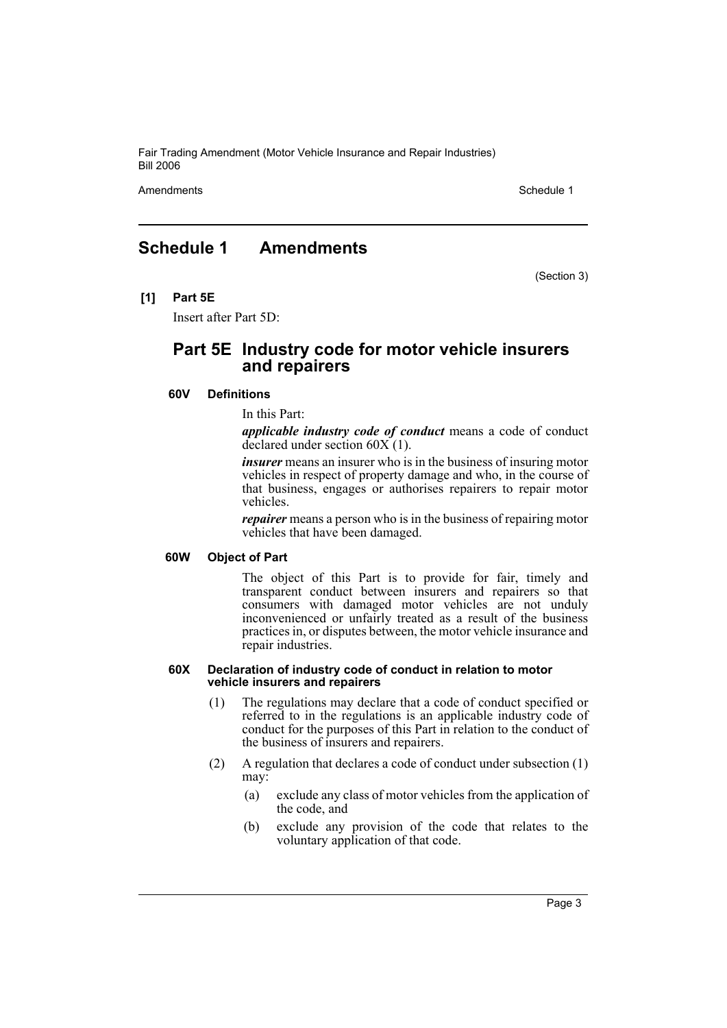Fair Trading Amendment (Motor Vehicle Insurance and Repair Industries) Bill 2006

Amendments **Amendments** Schedule 1

# **Schedule 1 Amendments**

(Section 3)

**[1] Part 5E**

Insert after Part 5D:

# **Part 5E Industry code for motor vehicle insurers and repairers**

### **60V Definitions**

In this Part:

*applicable industry code of conduct* means a code of conduct declared under section 60X (1).

*insurer* means an insurer who is in the business of insuring motor vehicles in respect of property damage and who, in the course of that business, engages or authorises repairers to repair motor vehicles.

*repairer* means a person who is in the business of repairing motor vehicles that have been damaged.

# **60W Object of Part**

The object of this Part is to provide for fair, timely and transparent conduct between insurers and repairers so that consumers with damaged motor vehicles are not unduly inconvenienced or unfairly treated as a result of the business practices in, or disputes between, the motor vehicle insurance and repair industries.

#### **60X Declaration of industry code of conduct in relation to motor vehicle insurers and repairers**

- (1) The regulations may declare that a code of conduct specified or referred to in the regulations is an applicable industry code of conduct for the purposes of this Part in relation to the conduct of the business of insurers and repairers.
- (2) A regulation that declares a code of conduct under subsection (1) may:
	- (a) exclude any class of motor vehicles from the application of the code, and
	- (b) exclude any provision of the code that relates to the voluntary application of that code.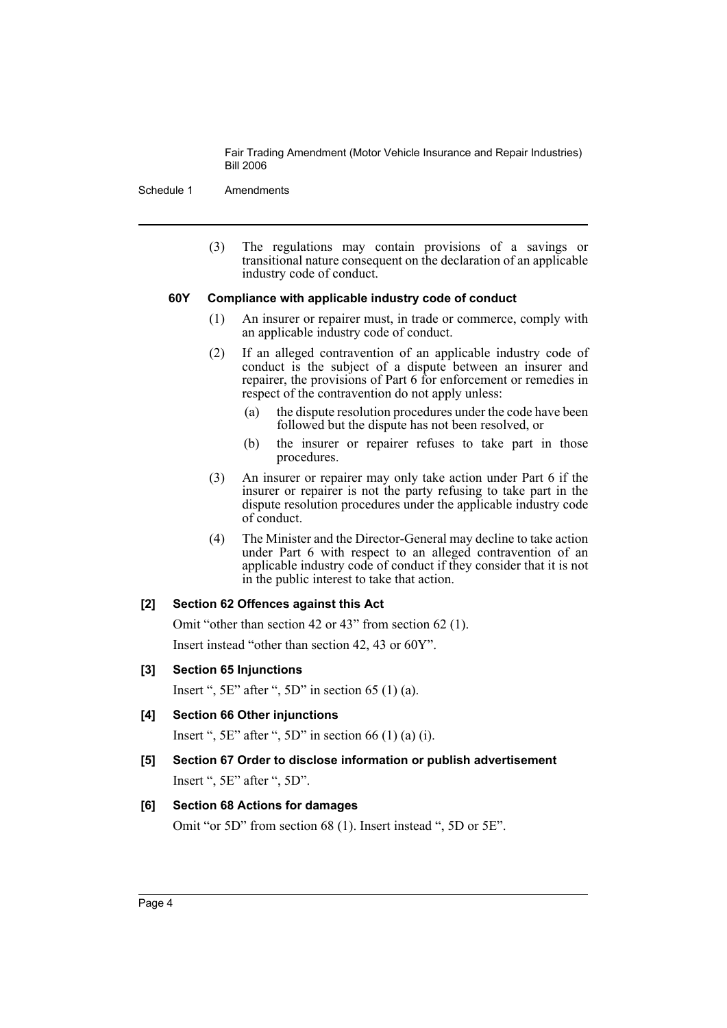Fair Trading Amendment (Motor Vehicle Insurance and Repair Industries) Bill 2006

Schedule 1 Amendments

(3) The regulations may contain provisions of a savings or transitional nature consequent on the declaration of an applicable industry code of conduct.

## **60Y Compliance with applicable industry code of conduct**

- (1) An insurer or repairer must, in trade or commerce, comply with an applicable industry code of conduct.
- (2) If an alleged contravention of an applicable industry code of conduct is the subject of a dispute between an insurer and repairer, the provisions of Part 6 for enforcement or remedies in respect of the contravention do not apply unless:
	- (a) the dispute resolution procedures under the code have been followed but the dispute has not been resolved, or
	- (b) the insurer or repairer refuses to take part in those procedures.
- (3) An insurer or repairer may only take action under Part 6 if the insurer or repairer is not the party refusing to take part in the dispute resolution procedures under the applicable industry code of conduct.
- (4) The Minister and the Director-General may decline to take action under Part 6 with respect to an alleged contravention of an applicable industry code of conduct if they consider that it is not in the public interest to take that action.

# **[2] Section 62 Offences against this Act**

Omit "other than section 42 or 43" from section 62 (1). Insert instead "other than section 42, 43 or 60Y".

## **[3] Section 65 Injunctions**

Insert ",  $5E$ " after ",  $5D$ " in section 65 (1) (a).

**[4] Section 66 Other injunctions**

Insert ",  $5E$ " after ",  $5D$ " in section 66 (1) (a) (i).

**[5] Section 67 Order to disclose information or publish advertisement** Insert ", 5E" after ", 5D".

## **[6] Section 68 Actions for damages**

Omit "or 5D" from section 68 (1). Insert instead ", 5D or 5E".